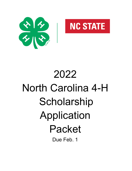



# 2022 North Carolina 4-H **Scholarship** Application Packet Due Feb. 1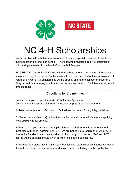

# NC 4-H Scholarships

North Carolina 4-H scholarships are offered to encourage 4-H members to continue their education beyond high school. The following provisions apply to educational scholarships awarded in the North Carolina 4-H Program.

**ELIGIBILITY:** Current North Carolina 4-H members who are graduating high school seniors are eligible to apply. Applicants must have accumulated at least a minimum of 3 years of 4-H work. All Scholarships will be directly paid to the college or university. They will not be made payable to a 4-H'er nor his/her parents. Recipients must be full time students.

#### -------------------------------------------------------------------------------------------------------------------------------------------- **Directions for the nominee:**

Submit 1 complete copy of your 4-H Scholarship Application. Complete the Registration information located on page 3 of this document.

1. Refer to the Academic Scholarship Guidelines document for eligibility guidelines.

2. Please place a check (X) on the line for all scholarships for which you are applying. Note eligibility requirements.

3. Be sure that you have filed an application for admission to at least one accredited Institution of Higher Learning. For 2022, we are not going to require the SAT or ACT due to the Pandemic and the cancellation of so many of those test. SAT and ACT scores will be optional should a 4-H'er wish to include those scores.

4. Parents/Guardians may submit a confidential letter stating special finance concerns. It should be placed in an envelope and sealed before including it in the application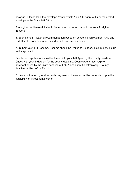package. Please label the envelope "confidential." Your 4-H Agent will mail the sealed envelope to the State 4-H Office.

5. A high school transcript should be included in the scholarship packet - 1 original transcript

6. Submit one (1) letter of recommendation based on academic achievement AND one (1) letter of recommendation based on 4-H accomplishments.

7. Submit your 4-H Resume. Resume should be limited to 2 pages. Resume style is up to the applicant.

Scholarship applications must be turned into your 4-H Agent by the county deadline. Check with your 4-H Agent for the county deadline. County Agent must register applicant online by the State deadline of Feb. 1 and submit electronically. County deadline will be before Feb. 1.

For Awards funded by endowments, payment of the award will be dependent upon the availability of investment income.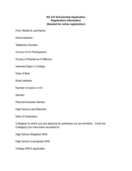#### **NC 4-H Scholarship Application Registration Information (Needed for online registration)**

First, Middle & Last Name:

Home Address:

Telephone Number:

County of 4-H Participation:

County of Residence if different:

Intended Major in College

Date of Birth

Email address

Number of years in 4-H:

Gender:

Parents/Guardian Names:

High School Last Attended:

Date of Graduation:

College(s) to which you are applying for admission (or are enrolled). Circle the College(s) you have been accepted to:

High School Weighted GPA:

High School Unweighted GPA:

College GPA if applicable: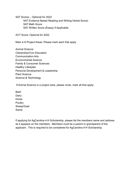SAT Scores – Optional for 2022 SAT Evidence Based Reading and Writing-Verbal Score) SAT Math Score SAT Written Score (Essay) if Applicable

ACT Score: Optional for 2022

Main 4-H Project Areas: Please mark each that apply

Animal Science Citizenship/Civic Education Communication Arts Environmental Science Family & Consumer Sciences Healthy Lifestyles Personal Development & Leadership Plant Science Science & Technology

If Animal Science is a project area, please circle, mark all that apply:

Beef Dairy Horse **Poultry** Sheep/Goat Swine

If applying for AgCarolina 4-H Scholarship, please list the members name and address as it appears on the members. Members must be a parent or grandparent of the applicant. This is required to be considered for AgCarolina 4-H Scholarship.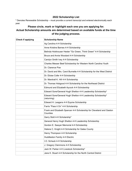#### **2022 Scholarship List**

\* Denotes Renewable Scholarship – must provide a current transcript and entered electronically each year.

## **Please circle, mark or highlight each one you are applying for. Actual Scholarship amounts are determined based on available funds at the time of the judging process.**

| <b>Check if applying</b> | <b>Scholarship Name</b>                                                          |
|--------------------------|----------------------------------------------------------------------------------|
|                          | Ag Carolina 4-H Scholarship                                                      |
|                          | Anne Kristine Barnes 4-H Scholarship                                             |
|                          | Belinda Holshouser Hester "Go Green, Think Green" 4-H Scholarship                |
|                          | Bruce and Annie Woodard 4-H Scholarship                                          |
|                          | Carolyn Smith Ivey 4-H Scholarship                                               |
|                          | Charles Messer Beef Scholarship for Western North Carolina Youth                 |
|                          | Dr. Clarence Poe                                                                 |
|                          | Dr. David and Mrs. Carol Burnette 4-H Scholarship for the West District          |
|                          | Dr. Eloise Cofer 4-H Scholarship                                                 |
|                          | Dr. Marshall K. Hill 4-H Scholarship                                             |
|                          | Dr. Thomas Hobgood 4-H Scholarship for the Northeast District                    |
|                          | Edmund and Elizabeth Aycock 4-H Scholarship                                      |
|                          | Edward Gore/General Hugh Shelton 4-H Leadership Scholarship*                     |
|                          | Edward Gore/General Hugh Shelton 4-H Leadership Scholarship*<br>(returning)      |
|                          | Edward H. Leagans 4-H Equine Scholarship                                         |
|                          | Farris "Pass it On" 4-H Scholarship                                              |
|                          | Frank and Elizabeth Spencer 4-H Scholarship for Cleveland and Gaston<br>Counties |
|                          | Garry Stott 4-H Scholarship*                                                     |
|                          | General Henry Hugh Shelton 4-H Leadership Scholarship                            |
|                          | Gordon E. Sawyer Memorial 4-H Scholarship                                        |
|                          | Helene C. Knight 4-H Scholarship for Gates County                                |
|                          | Henry Thompson 4-H Scholarship                                                   |
|                          | Huddleston Family 4-H Electric                                                   |
|                          | I.O. Schaub 4-H Scholarship                                                      |
|                          | J. Gregory Clemmons 4-H Scholarship                                              |
|                          | Jack W. Parker 4-H Livestock Scholarship*                                        |
|                          | Jane K. Stuart 4-H Scholarship for the North Central District                    |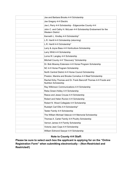| Joe and Barbara Brooks 4-H Scholarship                                                          |
|-------------------------------------------------------------------------------------------------|
| Joe Gregory 4-H Electric                                                                        |
| Joe L Perry 4-H Scholarship - Edgecombe County 4-H                                              |
| John C. and Cathy H. McLean 4-H Scholarship Endowment for the<br><b>Western District</b>        |
| Kenneth L. Kindley 4-H Scholarship*                                                             |
| L.R. Harrill 4-H Scholarship (returning)                                                        |
| L.R. Harrill 4-H Scholarship*                                                                   |
| Larry & Joyce Bass 4-H Horticulture Scholarship                                                 |
| Larry Whitt 4-H Scholarship                                                                     |
| Lorna W. Langley 4-H Scholarship                                                                |
| Mitchell County 4-H "Discovery" Scholarship                                                     |
| Dr. Bob Mowrey Extension 4-H Horse Program Scholarship                                          |
| NC 4-H Horse Program Scholarship                                                                |
| North Central District 4-H Horse Council Scholarship                                            |
| Preston, Marsha and Brooke Cornelius 4-H Beef Scholarship                                       |
| Rachel Kirby Thomas and Dr. Frank Bancroft Thomas 4-H Foods and<br><b>Nutrition Scholarship</b> |
| Ray Wilkinson Communications 4-H Scholarship                                                    |
| Reba Green-Holley 4-H Scholarship                                                               |
| Reece and Jesse Crouse 4-H Scholarship                                                          |
| Robert and Helen Runion 4-H Scholarship                                                         |
| Robert N. Wood Collegiate 4-H Scholarship                                                       |
| Rudolph Carl Ellis 4-H Scholarship*                                                             |
| Teeter Family 4-H Scholarship                                                                   |
| The William Michael Vatavuk 4-H Memorial Scholarship                                            |
| Thomas A. Carter Family 4-H Poultry Scholarship                                                 |
| Vernon James 4-H Family Scholarship                                                             |
| Victoria Jean Cope 4-H Scholarship                                                              |
| William Edmond Sawyer 4-H Scholarship                                                           |

# **Note to County 4-H Staff:**

**Please be sure to select each box the applicant is applying for on the "Online Registration Form" when submitting electronically – (Non-Restricted and Restricted!)**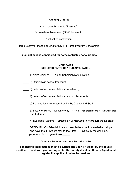#### **Ranking Criteria**

4-H accomplishments (Resume)

Scholastic Achievement (GPA/class rank)

Application completion

Horse Essay for those applying for NC 4-H Horse Program Scholarship

**Financial need is considered for some restricted scholarships**

### **CHECKLIST REQUIRED PARTS OF YOUR APPLICATION**

- \_\_\_\_ 1) North Carolina 4-H Youth Scholarship Application
- \_\_\_\_ 2) Official high school transcript
- \_\_\_\_ 3) Letters of recommendation (1 academic)
- \_\_\_\_ 4) Letters of recommendation (1 4-H achievement)
- \_\_\_\_ 5) Registration form entered online by County 4-H Staff
- 6) Essay for Horse Applicants only "How 4-H has prepared me for the Challenges of the Future"
- \_\_\_\_ 7) Two-page Resume  *Submit a 4-H Resume. 4-H'ers choice on style.*
- OPTIONAL: Confidential financial need letter put in a sealed envelope and have the 4-H Agent mail to the State 4-H Office by the deadline. *(Agents – do not open these)*

**Do Not Add Additional pages to the Application packet**

**Scholarship applications must be turned into your 4-H Agent by the county deadline. Check with your 4-H Agent for the county deadline. County Agent must register the applicant online by deadline.**